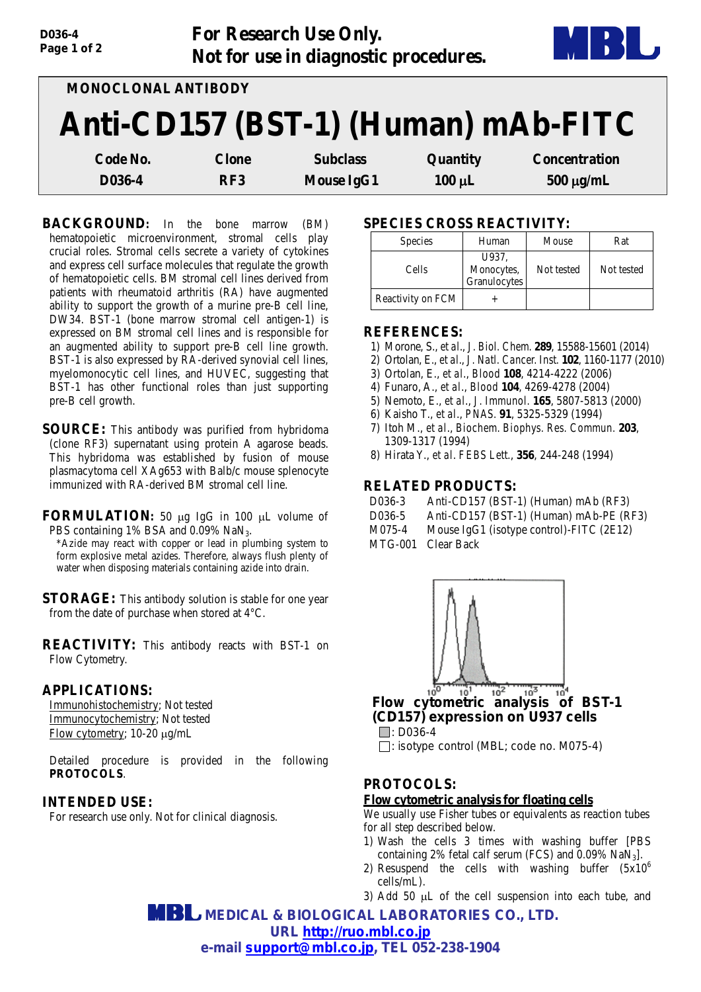| D036-4<br>Page 1 of 2 |                     | For Research Use Only.<br>Not for use in diagnostic procedures. |             |                                     |
|-----------------------|---------------------|-----------------------------------------------------------------|-------------|-------------------------------------|
|                       | MONOCLONAL ANTIBODY |                                                                 |             |                                     |
|                       |                     |                                                                 |             | Anti-CD157 (BST-1) (Human) mAb-FITC |
| Code No.              | <b>Clone</b>        | <b>Subclass</b>                                                 | Quantity    | <b>Concentration</b>                |
| D036-4                | RF3                 | <b>Mouse IgG1</b>                                               | $100 \mu L$ | $500 \mu g/mL$                      |

**BACKGROUND:** In the bone marrow (BM) hematopoietic microenvironment, stromal cells play crucial roles. Stromal cells secrete a variety of cytokines and express cell surface molecules that regulate the growth of hematopoietic cells. BM stromal cell lines derived from patients with rheumatoid arthritis (RA) have augmented ability to support the growth of a murine pre-B cell line, DW34. BST-1 (bone marrow stromal cell antigen-1) is expressed on BM stromal cell lines and is responsible for an augmented ability to support pre-B cell line growth. BST-1 is also expressed by RA-derived synovial cell lines, myelomonocytic cell lines, and HUVEC, suggesting that BST-1 has other functional roles than just supporting pre-B cell growth.

**SOURCE:** This antibody was purified from hybridoma (clone RF3) supernatant using protein A agarose beads. This hybridoma was established by fusion of mouse plasmacytoma cell XAg653 with Balb/c mouse splenocyte immunized with RA-derived BM stromal cell line.

**FORMULATION:** 50 µg IgG in 100 µL volume of PBS containing 1% BSA and 0.09% NaN<sub>3</sub>.

\*Azide may react with copper or lead in plumbing system to form explosive metal azides. Therefore, always flush plenty of water when disposing materials containing azide into drain.

**STORAGE:** This antibody solution is stable for one year from the date of purchase when stored at 4°C.

**REACTIVITY:** This antibody reacts with BST-1 on Flow Cytometry.

#### **APPLICATIONS:**

Immunohistochemistry; Not tested Immunocytochemistry; Not tested Flow cytometry; 10-20 µg/mL

Detailed procedure is provided in the following **PROTOCOLS**.

### **INTENDED USE:**

For research use only. Not for clinical diagnosis.

# **SPECIES CROSS REACTIVITY:**

| <b>Species</b>    | Human                               | Mouse      | Rat        |
|-------------------|-------------------------------------|------------|------------|
| Cells             | U937,<br>Monocytes,<br>Granulocytes | Not tested | Not tested |
| Reactivity on FCM |                                     |            |            |

#### **REFERENCES:**

- 1) Morone, S., *et al*., *J. Biol. Chem.* **289**, 15588-15601 (2014)
- 2) Ortolan, E., *et al*., *J. Natl. Cancer. Inst.* **102**, 1160-1177 (2010)
- 3) Ortolan, E., *et al*., *Blood* **108**, 4214-4222 (2006)
- 4) Funaro, A., *et al*., *Blood* **104**, 4269-4278 (2004)
- 5) Nemoto, E., *et al*., *J. Immunol.* **165**, 5807-5813 (2000)
- 6) Kaisho T., *et al*., *PNAS.* **91**, 5325-5329 (1994)
- 7) Itoh M., *et al*., *Biochem. Biophys. Res. Commun.* **203**, 1309-1317 (1994)
- 8) Hirata Y., *et al*. *FEBS Lett.*, **356**, 244-248 (1994)

### **RELATED PRODUCTS:**

- D036-3 Anti-CD157 (BST-1) (Human) mAb (RF3)
- D036-5 Anti-CD157 (BST-1) (Human) mAb-PE (RF3)
- M075-4 Mouse IgG1 (isotype control)-FITC (2E12)
- MTG-001 Clear Back



*(CD157) expression on U937 cells*  $\Box$ : D036-4

: isotype control (MBL; code no. M075-4)

# **PROTOCOLS:**

## **Flow cytometric analysis for floating cells**

We usually use Fisher tubes or equivalents as reaction tubes for all step described below.

- 1) Wash the cells 3 times with washing buffer [PBS containing 2% fetal calf serum (FCS) and  $0.09\%$  NaN<sub>3</sub>].
- 2) Resuspend the cells with washing buffer  $(5x10^6)$ cells/mL).
- 3) Add 50 µL of the cell suspension into each tube, and

 **MEDICAL & BIOLOGICAL LABORATORIES CO., LTD. URL [http://ruo.mbl.co.jp](http://ruo.mbl.co.jp/) e-mail [support@mbl.co.jp,](mailto:support@mbl.co.jp) TEL 052-238-1904**